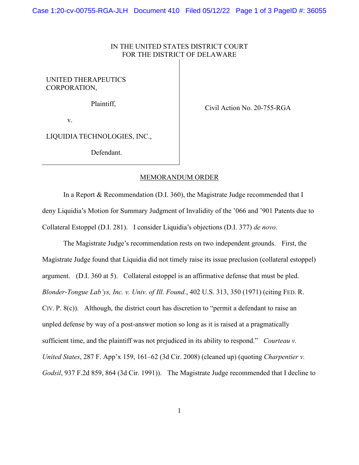## IN THE UNITED STATES DISTRICT COURT FOR THE DISTRICT OF DELAWARE

## UNITED THERAPEUTICS CORPORATION,

Plaintiff,

Civil Action No. 20-755-RGA

v.

LIQUIDIA TECHNOLOGIES, INC.,

Defendant.

## MEMORANDUM ORDER

In a Report & Recommendation (D.I. 360), the Magistrate Judge recommended that I deny Liquidia's Motion for Summary Judgment of Invalidity of the '066 and '901 Patents due to Collateral Estoppel (D.I. 281). I consider Liquidia's objections (D.I. 377) *de novo*.

The Magistrate Judge's recommendation rests on two independent grounds. First, the Magistrate Judge found that Liquidia did not timely raise its issue preclusion (collateral estoppel) argument. (D.I. 360 at 5). Collateral estoppel is an affirmative defense that must be pled. *Blonder-Tongue Lab'ys, Inc. v. Univ. of Ill. Found.*, 402 U.S. 313, 350 (1971) (citing FED. R. CIV. P.  $8(c)$ ). Although, the district court has discretion to "permit a defendant to raise an unpled defense by way of a post-answer motion so long as it is raised at a pragmatically sufficient time, and the plaintiff was not prejudiced in its ability to respond." *Courteau v. United States*, 287 F. App'x 159, 161–62 (3d Cir. 2008) (cleaned up) (quoting *Charpentier v. Godsil*, 937 F.2d 859, 864 (3d Cir. 1991)). The Magistrate Judge recommended that I decline to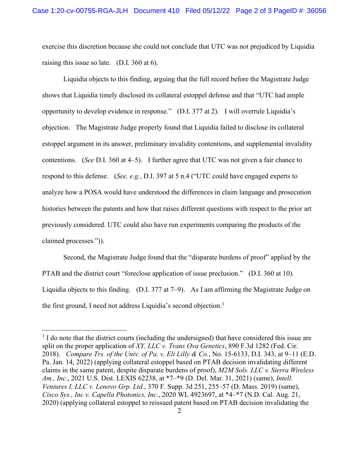exercise this discretion because she could not conclude that UTC was not prejudiced by Liquidia raising this issue so late. (D.I. 360 at 6).

Liquidia objects to this finding, arguing that the full record before the Magistrate Judge shows that Liquidia timely disclosed its collateral estoppel defense and that "UTC had ample opportunity to develop evidence in response." (D.I. 377 at 2). I will overrule Liquidia's objection. The Magistrate Judge properly found that Liquidia failed to disclose its collateral estoppel argument in its answer, preliminary invalidity contentions, and supplemental invalidity contentions. (*See* D.I. 360 at 4–5). I further agree that UTC was not given a fair chance to respond to this defense. (*See, e.g.*, D.I. 397 at 5 n.4 ("UTC could have engaged experts to analyze how a POSA would have understood the differences in claim language and prosecution histories between the patents and how that raises different questions with respect to the prior art previously considered. UTC could also have run experiments comparing the products of the claimed processes.")).

Second, the Magistrate Judge found that the "disparate burdens of proof" applied by the PTAB and the district court "foreclose application of issue preclusion." (D.I. 360 at 10). Liquidia objects to this finding. (D.I. 377 at 7–9). As I am affirming the Magistrate Judge on the first ground, I need not address Liquidia's second objection.<sup>[1](#page-1-0)</sup>

<span id="page-1-0"></span> $1$  I do note that the district courts (including the undersigned) that have considered this issue are split on the proper application of *XY, LLC v. Trans Ova Genetics*, 890 F.3d 1282 (Fed. Cir. 2018). *Compare Trs. of the Univ. of Pa. v. Eli Lilly & Co.*, No. 15-6133, D.I. 343, at 9–11 (E.D. Pa. Jan. 14, 2022) (applying collateral estoppel based on PTAB decision invalidating different claims in the same patent, despite disparate burdens of proof), *M2M Sols. LLC v. Sierra Wireless Am., Inc.*, 2021 U.S. Dist. LEXIS 62238, at \*7–\*9 (D. Del. Mar. 31, 2021) (same), *Intell. Ventures I, LLC v. Lenovo Grp. Ltd.*, 370 F. Supp. 3d 251, 255–57 (D. Mass. 2019) (same), *Cisco Sys., Inc v. Capella Photonics, Inc.*, 2020 WL 4923697, at \*4–\*7 (N.D. Cal. Aug. 21, 2020) (applying collateral estoppel to reissued patent based on PTAB decision invalidating the